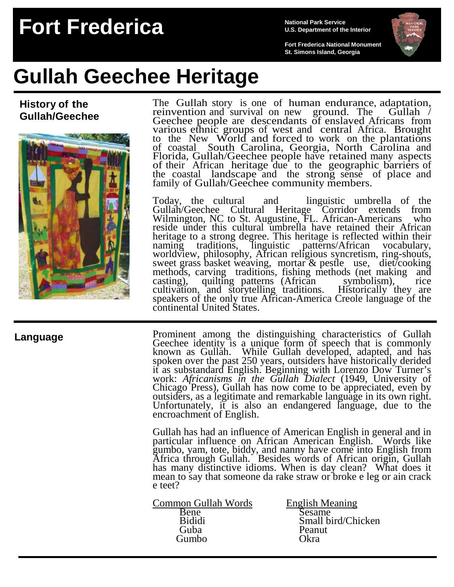## **Fort Frederica National Park Service**

**U.S. Department of the Interior**

**Fort Frederica National Monument St. Simons Island, Georgia**



# **Gullah Geechee Heritage**

**History of the Gullah/Geechee**



The Gullah story is one of human endurance, adaptation, reinvention and survival on new ground. The Gullah / Geechee people are descendants of enslaved Africans from various ethnic groups of west and central Africa. Brought to the New World and forced to work on the plantations of coastal South Carolina, Georgia, North Carolina and Florida, Gullah/Geechee people have retained many aspects of their African heritage due to the geographic barriers of the coastal landscape and the strong sense of place and family of Gullah/Geechee community members.

Today, the cultural and linguistic umbrella of the Gullah/Geechee Cultural Heritage Corridor extends from Wilmington, NC to St. Augustine, FL. African-Americans who reside under this cultural umbrella have retained their African heritage to a strong degree. This heritage is reflected within their naming traditions, linguistic patterns/African vocabulary, worldview, philosophy, African religious syncretism, ring-shouts, sweet grass basket weaving, mortar & pestle use, diet/cooking methods, carving traditions, fishing methods (net making and methods, carving traditions, fishing methods (net making and casting), quilting patterns (African symbolism), rice cultivation, and storytelling traditions. Historically they are speakers of the only true African-America Creole language of the continental United States.

### **Language**

Prominent among the distinguishing characteristics of Gullah Geechee identity is a unique form of speech that is commonly known as Gullah. While Gullah developed, adapted, and has spoken over the past 250 years, outsiders have historically derided<br>it as substandard English. Beginning with Lorenzo Dow Turner's<br>work: *Africanisms in the Gullah Dialect* (1949, University of<br>Chicago Press), Gullah has n outsiders, as a legitimate and remarkable language in its own right. Unfortunately, it is also an endangered language, due to the encroachment of English.

Gullah has had an influence of American English in general and in particular influence on African American English. Words like gumbo, yam, tote, biddy, and nanny have come into English from Africa through Gullah. Besides words of African origin, Gullah has many distinctive idioms. When is day clean? What does it mean to say that someone da rake straw or broke e leg or ain crack e teet?

- English Meaning<br>
Bene<br>
Bididi<br>
Bididi<br>
Bididi<br>
Bididi<br>
Bididi<br>
Bene<br>
Bididi<br>
Bene<br>
Small bird/Ch Guba Peanut Gumbo Okra
	- Bididi<br>Guba Small bird/Chicken<br>Peanut